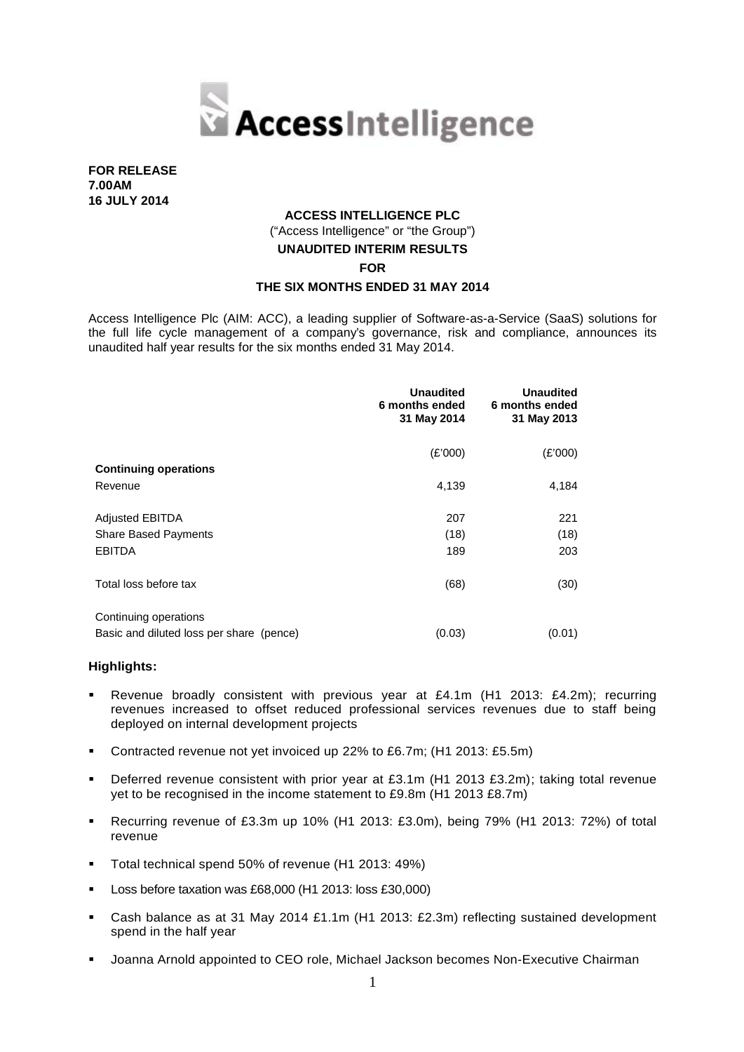

**FOR RELEASE 7.00AM 16 JULY 2014**

# **ACCESS INTELLIGENCE PLC** ("Access Intelligence" or "the Group") **UNAUDITED INTERIM RESULTS FOR**

#### **THE SIX MONTHS ENDED 31 MAY 2014**

Access Intelligence Plc (AIM: ACC), a leading supplier of Software-as-a-Service (SaaS) solutions for the full life cycle management of a company's governance, risk and compliance, announces its unaudited half year results for the six months ended 31 May 2014.

|                                          | <b>Unaudited</b><br>6 months ended<br>31 May 2014 | <b>Unaudited</b><br>6 months ended<br>31 May 2013 |  |
|------------------------------------------|---------------------------------------------------|---------------------------------------------------|--|
|                                          | (E'000)                                           | (E'000)                                           |  |
| <b>Continuing operations</b>             |                                                   |                                                   |  |
| Revenue                                  | 4,139                                             | 4,184                                             |  |
| <b>Adjusted EBITDA</b>                   | 207                                               | 221                                               |  |
| <b>Share Based Payments</b>              | (18)                                              | (18)                                              |  |
| <b>EBITDA</b>                            | 189                                               | 203                                               |  |
| Total loss before tax                    | (68)                                              | (30)                                              |  |
| Continuing operations                    |                                                   |                                                   |  |
| Basic and diluted loss per share (pence) | (0.03)                                            | (0.01)                                            |  |

#### **Highlights:**

- Revenue broadly consistent with previous year at £4.1m (H1 2013: £4.2m); recurring revenues increased to offset reduced professional services revenues due to staff being deployed on internal development projects
- Contracted revenue not yet invoiced up 22% to £6.7m; (H1 2013: £5.5m)
- Deferred revenue consistent with prior year at £3.1m (H1 2013 £3.2m); taking total revenue yet to be recognised in the income statement to £9.8m (H1 2013 £8.7m)
- Recurring revenue of £3.3m up 10% (H1 2013: £3.0m), being 79% (H1 2013: 72%) of total revenue
- Total technical spend 50% of revenue (H1 2013: 49%)
- Loss before taxation was £68,000 (H1 2013: loss £30,000)
- Cash balance as at 31 May 2014 £1.1m (H1 2013: £2.3m) reflecting sustained development spend in the half year
- Joanna Arnold appointed to CEO role, Michael Jackson becomes Non-Executive Chairman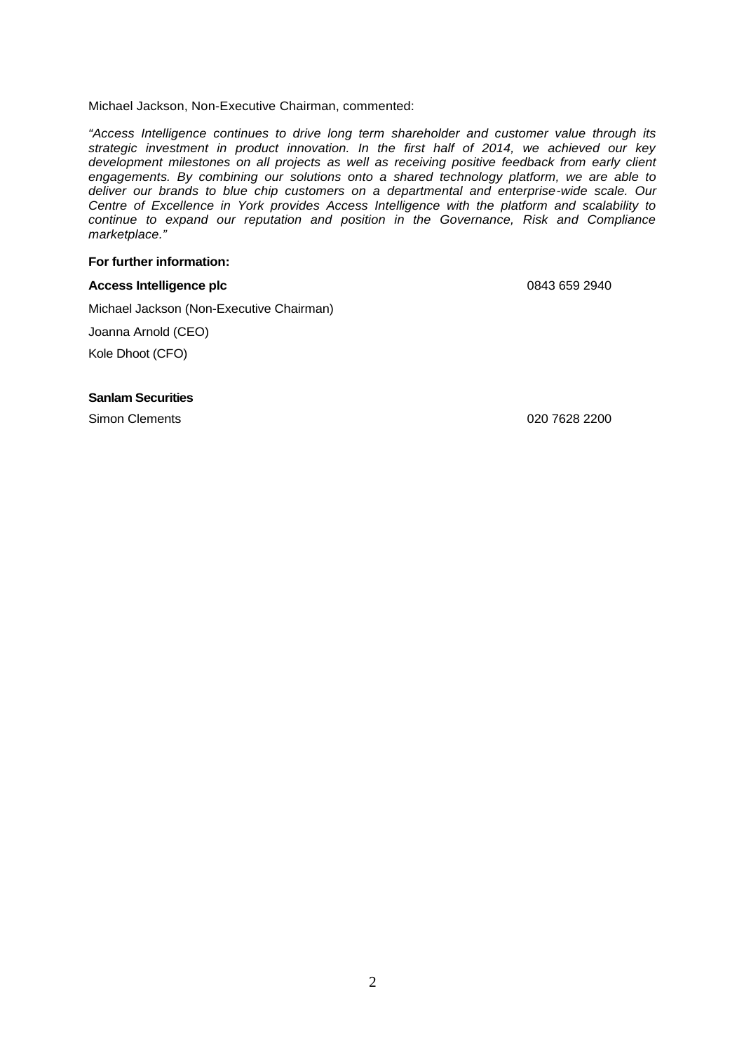Michael Jackson, Non-Executive Chairman, commented:

*"Access Intelligence continues to drive long term shareholder and customer value through its strategic investment in product innovation. In the first half of 2014, we achieved our key development milestones on all projects as well as receiving positive feedback from early client engagements. By combining our solutions onto a shared technology platform, we are able to deliver our brands to blue chip customers on a departmental and enterprise-wide scale. Our Centre of Excellence in York provides Access Intelligence with the platform and scalability to continue to expand our reputation and position in the Governance, Risk and Compliance marketplace."*

# **For further information:**

## Access Intelligence plc **Access Intelligence plc** 0843 659 2940

Michael Jackson (Non-Executive Chairman)

Joanna Arnold (CEO)

Kole Dhoot (CFO)

#### **Sanlam Securities**

Simon Clements 020 7628 2200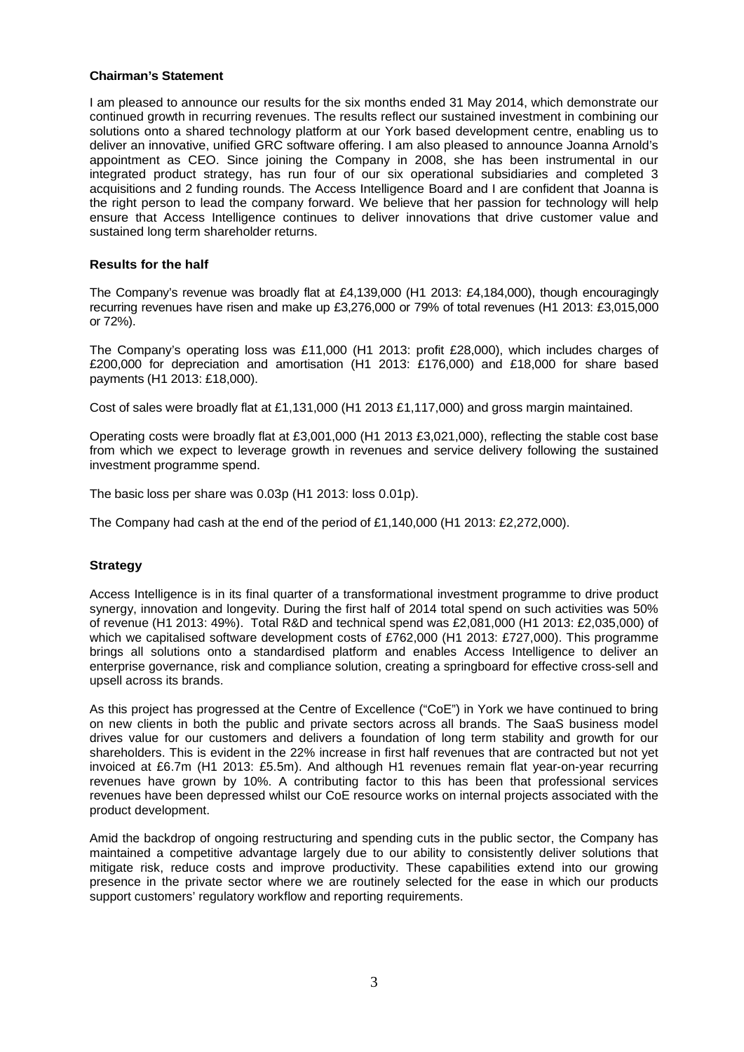## **Chairman's Statement**

I am pleased to announce our results for the six months ended 31 May 2014, which demonstrate our continued growth in recurring revenues. The results reflect our sustained investment in combining our solutions onto a shared technology platform at our York based development centre, enabling us to deliver an innovative, unified GRC software offering. I am also pleased to announce Joanna Arnold's appointment as CEO. Since joining the Company in 2008, she has been instrumental in our integrated product strategy, has run four of our six operational subsidiaries and completed 3 acquisitions and 2 funding rounds. The Access Intelligence Board and I are confident that Joanna is the right person to lead the company forward. We believe that her passion for technology will help ensure that Access Intelligence continues to deliver innovations that drive customer value and sustained long term shareholder returns.

## **Results for the half**

The Company's revenue was broadly flat at £4,139,000 (H1 2013: £4,184,000), though encouragingly recurring revenues have risen and make up £3,276,000 or 79% of total revenues (H1 2013: £3,015,000 or 72%).

The Company's operating loss was £11,000 (H1 2013: profit £28,000), which includes charges of £200,000 for depreciation and amortisation (H1 2013: £176,000) and £18,000 for share based payments (H1 2013: £18,000).

Cost of sales were broadly flat at £1,131,000 (H1 2013 £1,117,000) and gross margin maintained.

Operating costs were broadly flat at £3,001,000 (H1 2013 £3,021,000), reflecting the stable cost base from which we expect to leverage growth in revenues and service delivery following the sustained investment programme spend.

The basic loss per share was 0.03p (H1 2013: loss 0.01p).

The Company had cash at the end of the period of £1,140,000 (H1 2013: £2,272,000).

# **Strategy**

Access Intelligence is in its final quarter of a transformational investment programme to drive product synergy, innovation and longevity. During the first half of 2014 total spend on such activities was 50% of revenue (H1 2013: 49%). Total R&D and technical spend was £2,081,000 (H1 2013: £2,035,000) of which we capitalised software development costs of £762,000 (H1 2013: £727,000). This programme brings all solutions onto a standardised platform and enables Access Intelligence to deliver an enterprise governance, risk and compliance solution, creating a springboard for effective cross-sell and upsell across its brands.

As this project has progressed at the Centre of Excellence ("CoE") in York we have continued to bring on new clients in both the public and private sectors across all brands. The SaaS business model drives value for our customers and delivers a foundation of long term stability and growth for our shareholders. This is evident in the 22% increase in first half revenues that are contracted but not yet invoiced at £6.7m (H1 2013: £5.5m). And although H1 revenues remain flat year-on-year recurring revenues have grown by 10%. A contributing factor to this has been that professional services revenues have been depressed whilst our CoE resource works on internal projects associated with the product development.

Amid the backdrop of ongoing restructuring and spending cuts in the public sector, the Company has maintained a competitive advantage largely due to our ability to consistently deliver solutions that mitigate risk, reduce costs and improve productivity. These capabilities extend into our growing presence in the private sector where we are routinely selected for the ease in which our products support customers' regulatory workflow and reporting requirements.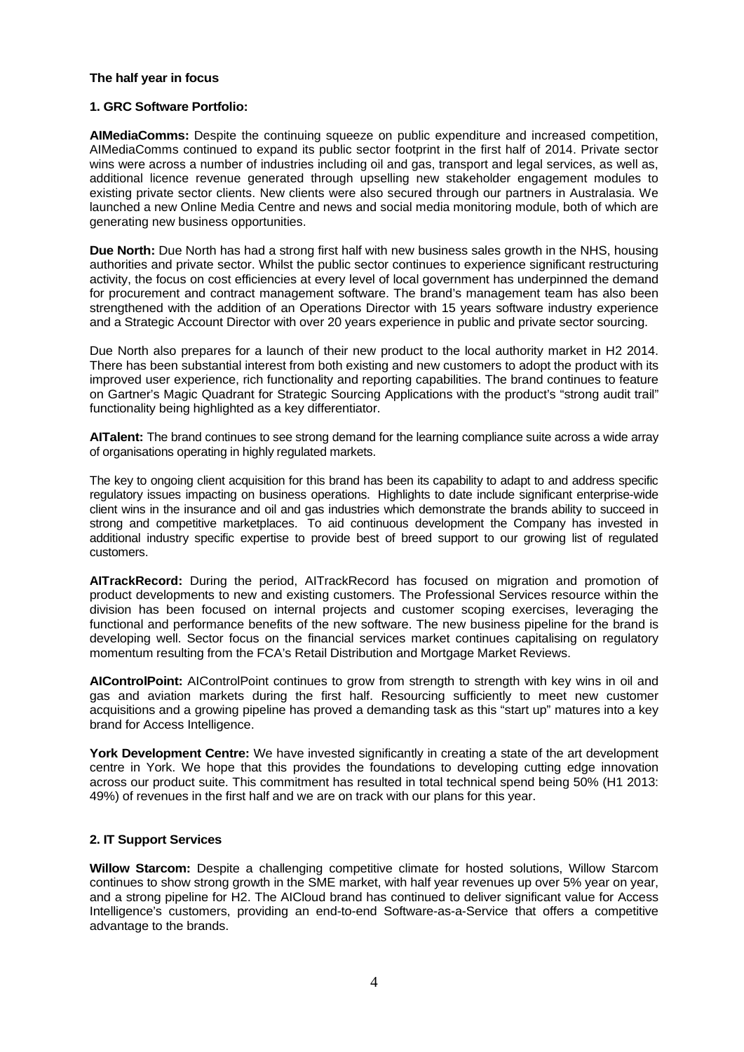#### **The half year in focus**

## **1. GRC Software Portfolio:**

**AIMediaComms:** Despite the continuing squeeze on public expenditure and increased competition, AIMediaComms continued to expand its public sector footprint in the first half of 2014. Private sector wins were across a number of industries including oil and gas, transport and legal services, as well as, additional licence revenue generated through upselling new stakeholder engagement modules to existing private sector clients. New clients were also secured through our partners in Australasia. We launched a new Online Media Centre and news and social media monitoring module, both of which are generating new business opportunities.

**Due North:** Due North has had a strong first half with new business sales growth in the NHS, housing authorities and private sector. Whilst the public sector continues to experience significant restructuring activity, the focus on cost efficiencies at every level of local government has underpinned the demand for procurement and contract management software. The brand's management team has also been strengthened with the addition of an Operations Director with 15 years software industry experience and a Strategic Account Director with over 20 years experience in public and private sector sourcing.

Due North also prepares for a launch of their new product to the local authority market in H2 2014. There has been substantial interest from both existing and new customers to adopt the product with its improved user experience, rich functionality and reporting capabilities. The brand continues to feature on Gartner's Magic Quadrant for Strategic Sourcing Applications with the product's "strong audit trail" functionality being highlighted as a key differentiator.

**AITalent:** The brand continues to see strong demand for the learning compliance suite across a wide array of organisations operating in highly regulated markets.

The key to ongoing client acquisition for this brand has been its capability to adapt to and address specific regulatory issues impacting on business operations. Highlights to date include significant enterprise-wide client wins in the insurance and oil and gas industries which demonstrate the brands ability to succeed in strong and competitive marketplaces. To aid continuous development the Company has invested in additional industry specific expertise to provide best of breed support to our growing list of regulated customers.

**AITrackRecord:** During the period, AITrackRecord has focused on migration and promotion of product developments to new and existing customers. The Professional Services resource within the division has been focused on internal projects and customer scoping exercises, leveraging the functional and performance benefits of the new software. The new business pipeline for the brand is developing well. Sector focus on the financial services market continues capitalising on regulatory momentum resulting from the FCA's Retail Distribution and Mortgage Market Reviews.

**AIControlPoint:** AIControlPoint continues to grow from strength to strength with key wins in oil and gas and aviation markets during the first half. Resourcing sufficiently to meet new customer acquisitions and a growing pipeline has proved a demanding task as this "start up" matures into a key brand for Access Intelligence.

**York Development Centre:** We have invested significantly in creating a state of the art development centre in York. We hope that this provides the foundations to developing cutting edge innovation across our product suite. This commitment has resulted in total technical spend being 50% (H1 2013: 49%) of revenues in the first half and we are on track with our plans for this year.

# **2. IT Support Services**

**Willow Starcom:** Despite a challenging competitive climate for hosted solutions, Willow Starcom continues to show strong growth in the SME market, with half year revenues up over 5% year on year, and a strong pipeline for H2. The AICloud brand has continued to deliver significant value for Access Intelligence's customers, providing an end-to-end Software-as-a-Service that offers a competitive advantage to the brands.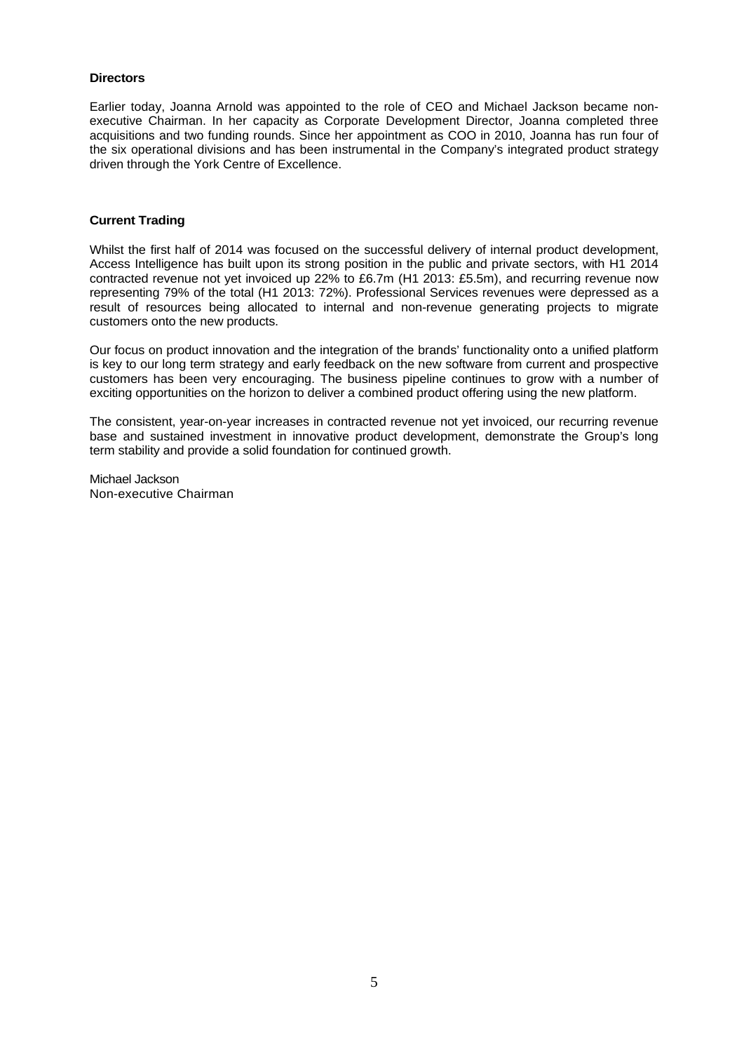## **Directors**

Earlier today, Joanna Arnold was appointed to the role of CEO and Michael Jackson became non executive Chairman. In her capacity as Corporate Development Director, Joanna completed three acquisitions and two funding rounds. Since her appointment as COO in 2010, Joanna has run four of the six operational divisions and has been instrumental in the Company's integrated product strategy driven through the York Centre of Excellence.

#### **Current Trading**

Whilst the first half of 2014 was focused on the successful delivery of internal product development, Access Intelligence has built upon its strong position in the public and private sectors, with H1 2014 contracted revenue not yet invoiced up 22% to £6.7m (H1 2013: £5.5m), and recurring revenue now representing 79% of the total (H1 2013: 72%). Professional Services revenues were depressed as a result of resources being allocated to internal and non-revenue generating projects to migrate customers onto the new products.

Our focus on product innovation and the integration of the brands' functionality onto a unified platform is key to our long term strategy and early feedback on the new software from current and prospective customers has been very encouraging. The business pipeline continues to grow with a number of exciting opportunities on the horizon to deliver a combined product offering using the new platform.

The consistent, year-on-year increases in contracted revenue not yet invoiced, our recurring revenue base and sustained investment in innovative product development, demonstrate the Group's long term stability and provide a solid foundation for continued growth.

Michael Jackson Non-executive Chairman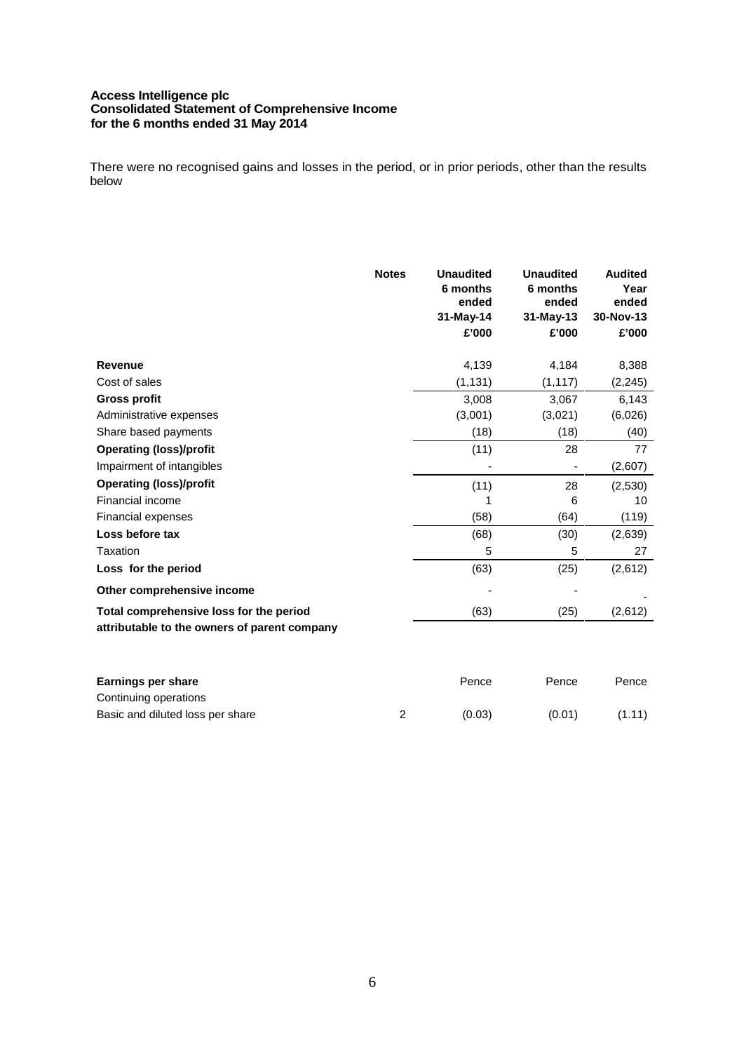## **Access Intelligence plc Consolidated Statement of Comprehensive Income for the 6 months ended 31 May 2014**

There were no recognised gains and losses in the period, or in prior periods, other than the results below

|                                                                                         | <b>Notes</b> | <b>Unaudited</b><br>6 months<br>ended<br>31-May-14<br>£'000 | <b>Unaudited</b><br>6 months<br>ended<br>31-May-13<br>£'000 | <b>Audited</b><br>Year<br>ended<br>30-Nov-13<br>£'000 |
|-----------------------------------------------------------------------------------------|--------------|-------------------------------------------------------------|-------------------------------------------------------------|-------------------------------------------------------|
| <b>Revenue</b>                                                                          |              | 4,139                                                       | 4,184                                                       | 8,388                                                 |
| Cost of sales                                                                           |              | (1, 131)                                                    | (1, 117)                                                    | (2, 245)                                              |
| <b>Gross profit</b>                                                                     |              | 3,008                                                       | 3,067                                                       | 6,143                                                 |
| Administrative expenses                                                                 |              | (3,001)                                                     | (3,021)                                                     | (6,026)                                               |
| Share based payments                                                                    |              | (18)                                                        | (18)                                                        | (40)                                                  |
| <b>Operating (loss)/profit</b>                                                          |              | (11)                                                        | 28                                                          | 77                                                    |
| Impairment of intangibles                                                               |              |                                                             |                                                             | (2,607)                                               |
| <b>Operating (loss)/profit</b>                                                          |              | (11)                                                        | 28                                                          | (2,530)                                               |
| Financial income                                                                        |              |                                                             | 6                                                           | 10                                                    |
| Financial expenses                                                                      |              | (58)                                                        | (64)                                                        | (119)                                                 |
| Loss before tax                                                                         |              | (68)                                                        | (30)                                                        | (2,639)                                               |
| Taxation                                                                                |              | 5                                                           | 5                                                           | 27                                                    |
| Loss for the period                                                                     |              | (63)                                                        | (25)                                                        | (2,612)                                               |
| Other comprehensive income                                                              |              |                                                             |                                                             |                                                       |
| Total comprehensive loss for the period<br>attributable to the owners of parent company |              | (63)                                                        | (25)                                                        | (2,612)                                               |
|                                                                                         |              |                                                             |                                                             |                                                       |
| <b>Earnings per share</b>                                                               |              | Pence                                                       | Pence                                                       | Pence                                                 |
| Continuing operations                                                                   |              |                                                             |                                                             |                                                       |

Basic and diluted loss per share 2 (0.03) (0.01) (1.11)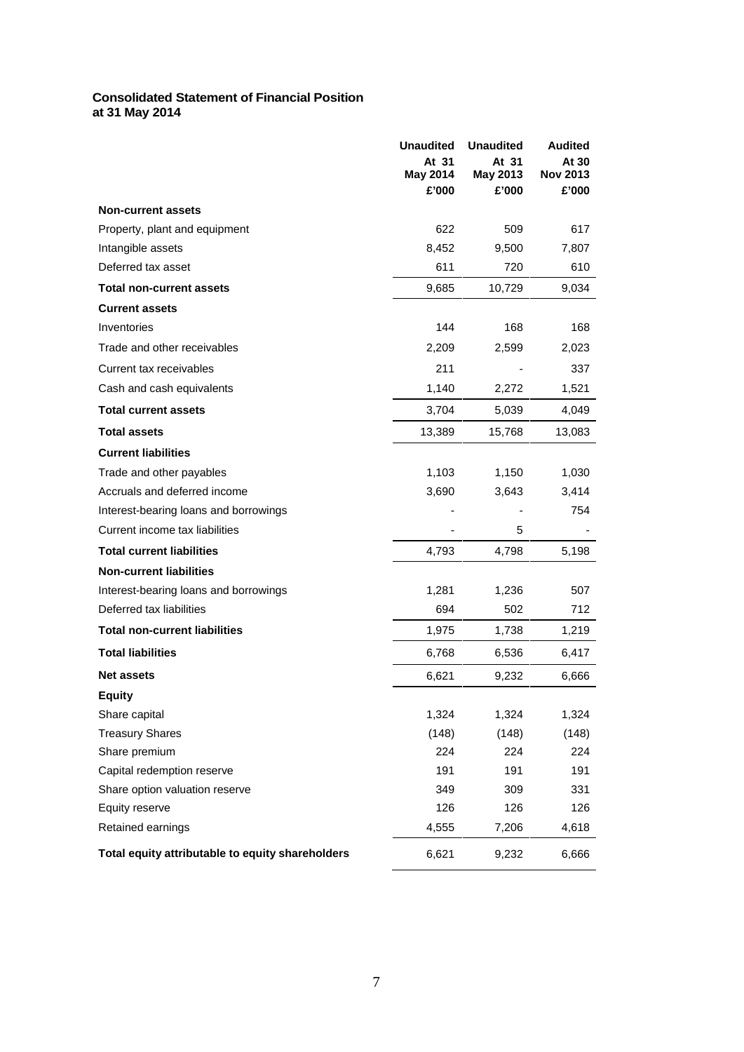# **Consolidated Statement of Financial Position at 31 May 2014**

|                                                  | <b>Unaudited</b><br>At 31<br>May 2014<br>£'000 | <b>Unaudited</b><br>At 31<br>May 2013<br>£'000 | <b>Audited</b><br>At 30<br><b>Nov 2013</b><br>£'000 |
|--------------------------------------------------|------------------------------------------------|------------------------------------------------|-----------------------------------------------------|
| <b>Non-current assets</b>                        |                                                |                                                |                                                     |
| Property, plant and equipment                    | 622                                            | 509                                            | 617                                                 |
| Intangible assets                                | 8,452                                          | 9,500                                          | 7,807                                               |
| Deferred tax asset                               | 611                                            | 720                                            | 610                                                 |
| <b>Total non-current assets</b>                  | 9,685                                          | 10,729                                         | 9,034                                               |
| <b>Current assets</b>                            |                                                |                                                |                                                     |
| Inventories                                      | 144                                            | 168                                            | 168                                                 |
| Trade and other receivables                      | 2,209                                          | 2,599                                          | 2,023                                               |
| Current tax receivables                          | 211                                            |                                                | 337                                                 |
| Cash and cash equivalents                        | 1,140                                          | 2,272                                          | 1,521                                               |
| <b>Total current assets</b>                      | 3,704                                          | 5,039                                          | 4,049                                               |
| <b>Total assets</b>                              | 13,389                                         | 15,768                                         | 13,083                                              |
| <b>Current liabilities</b>                       |                                                |                                                |                                                     |
| Trade and other payables                         | 1,103                                          | 1,150                                          | 1,030                                               |
| Accruals and deferred income                     | 3,690                                          | 3,643                                          | 3,414                                               |
| Interest-bearing loans and borrowings            |                                                |                                                | 754                                                 |
| Current income tax liabilities                   |                                                | 5                                              |                                                     |
| <b>Total current liabilities</b>                 | 4,793                                          | 4,798                                          | 5,198                                               |
| <b>Non-current liabilities</b>                   |                                                |                                                |                                                     |
| Interest-bearing loans and borrowings            | 1,281                                          | 1,236                                          | 507                                                 |
| Deferred tax liabilities                         | 694                                            | 502                                            | 712                                                 |
| <b>Total non-current liabilities</b>             | 1,975                                          | 1,738                                          | 1,219                                               |
| <b>Total liabilities</b>                         | 6,768                                          | 6,536                                          | 6,417                                               |
| <b>Net assets</b>                                | 6,621                                          | 9,232                                          | 6,666                                               |
| <b>Equity</b>                                    |                                                |                                                |                                                     |
| Share capital                                    | 1,324                                          | 1,324                                          | 1,324                                               |
| <b>Treasury Shares</b>                           | (148)                                          | (148)                                          | (148)                                               |
| Share premium                                    | 224                                            | 224                                            | 224                                                 |
| Capital redemption reserve                       | 191                                            | 191                                            | 191                                                 |
| Share option valuation reserve                   | 349                                            | 309                                            | 331                                                 |
| Equity reserve                                   | 126                                            | 126                                            | 126                                                 |
| Retained earnings                                | 4,555                                          | 7,206                                          | 4,618                                               |
| Total equity attributable to equity shareholders | 6,621                                          | 9,232                                          | 6,666                                               |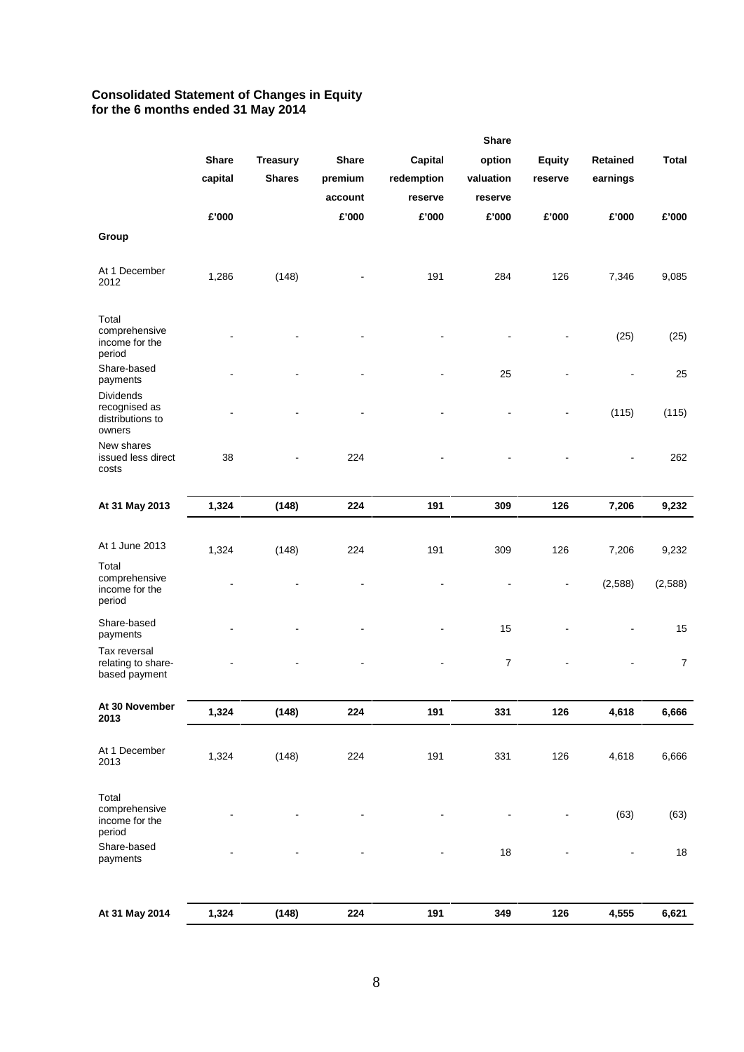#### **Consolidated Statement of Changes in Equity for the 6 months ended 31 May 2014**

|                                                          |                         |                                  |                                    |                                  | <b>Share</b>                   |                          |                      |                |  |
|----------------------------------------------------------|-------------------------|----------------------------------|------------------------------------|----------------------------------|--------------------------------|--------------------------|----------------------|----------------|--|
|                                                          | <b>Share</b><br>capital | <b>Treasury</b><br><b>Shares</b> | <b>Share</b><br>premium<br>account | Capital<br>redemption<br>reserve | option<br>valuation<br>reserve | <b>Equity</b><br>reserve | Retained<br>earnings | <b>Total</b>   |  |
|                                                          | £'000                   |                                  | £'000                              | £'000                            | £'000                          | £'000                    | £'000                | £'000          |  |
| Group                                                    |                         |                                  |                                    |                                  |                                |                          |                      |                |  |
| At 1 December<br>2012                                    | 1,286                   | (148)                            |                                    | 191                              | 284                            | 126                      | 7,346                | 9,085          |  |
| Total<br>comprehensive<br>income for the<br>period       |                         |                                  |                                    |                                  |                                | $\blacksquare$           | (25)                 | (25)           |  |
| Share-based<br>payments                                  |                         |                                  |                                    |                                  | 25                             |                          | $\overline{a}$       | 25             |  |
| Dividends<br>recognised as<br>distributions to<br>owners |                         |                                  |                                    |                                  |                                |                          | (115)                | (115)          |  |
| New shares<br>issued less direct<br>costs                | 38                      |                                  | 224                                |                                  |                                |                          | $\blacksquare$       | 262            |  |
| At 31 May 2013                                           | 1,324                   | (148)                            | 224                                | 191                              | 309                            | 126                      | 7,206                | 9,232          |  |
| At 1 June 2013                                           | 1,324                   | (148)                            | 224                                | 191                              | 309                            | 126                      | 7,206                | 9,232          |  |
| Total<br>comprehensive<br>income for the<br>period       |                         |                                  |                                    |                                  | $\blacksquare$                 | $\blacksquare$           | (2,588)              | (2,588)        |  |
| Share-based<br>payments                                  |                         |                                  |                                    |                                  | 15                             |                          |                      | 15             |  |
| Tax reversal<br>relating to share-<br>based payment      |                         |                                  | $\blacksquare$                     | ۰                                | 7                              |                          | $\blacksquare$       | $\overline{7}$ |  |
| At 30 November<br>2013                                   | 1,324                   | (148)                            | 224                                | 191                              | 331                            | 126                      | 4,618                | 6,666          |  |
| At 1 December<br>2013                                    | 1,324                   | (148)                            | 224                                | 191                              | 331                            | 126                      | 4,618                | 6,666          |  |
| Total<br>comprehensive<br>income for the<br>period       |                         |                                  |                                    |                                  |                                |                          | (63)                 | (63)           |  |
| Share-based<br>payments                                  |                         |                                  |                                    | $\overline{a}$                   | 18                             | $\overline{\phantom{a}}$ | $\blacksquare$       | $18$           |  |
|                                                          |                         |                                  |                                    |                                  |                                |                          |                      |                |  |
| At 31 May 2014                                           | 1,324                   | (148)                            | 224                                | 191                              | 349                            | 126                      | 4,555                | 6,621          |  |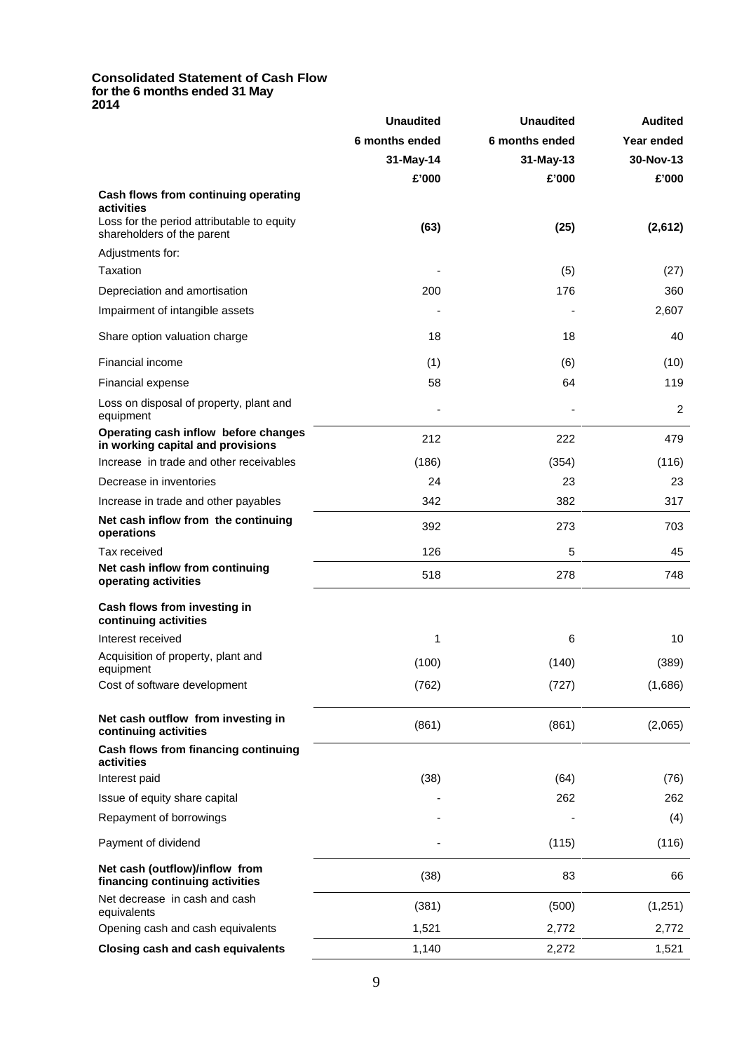#### **Consolidated Statement of Cash Flow for the 6 months ended 31 May 2014**

|                                                                           | <b>Unaudited</b> | <b>Unaudited</b> | <b>Audited</b><br>Year ended |  |
|---------------------------------------------------------------------------|------------------|------------------|------------------------------|--|
|                                                                           | 6 months ended   | 6 months ended   |                              |  |
|                                                                           | 31-May-14        | 31-May-13        | 30-Nov-13                    |  |
|                                                                           | £'000            | £'000            | £'000                        |  |
| Cash flows from continuing operating<br>activities                        |                  |                  |                              |  |
| Loss for the period attributable to equity<br>shareholders of the parent  | (63)             | (25)             | (2,612)                      |  |
| Adjustments for:                                                          |                  |                  |                              |  |
| Taxation                                                                  |                  | (5)              | (27)                         |  |
| Depreciation and amortisation                                             | 200              | 176              | 360                          |  |
| Impairment of intangible assets                                           |                  |                  | 2,607                        |  |
| Share option valuation charge                                             | 18               | 18               | 40                           |  |
| Financial income                                                          | (1)              | (6)              | (10)                         |  |
| Financial expense                                                         | 58               | 64               | 119                          |  |
| Loss on disposal of property, plant and<br>equipment                      |                  |                  | $\overline{c}$               |  |
| Operating cash inflow before changes<br>in working capital and provisions | 212              | 222              | 479                          |  |
| Increase in trade and other receivables                                   | (186)            | (354)            | (116)                        |  |
| Decrease in inventories                                                   | 24               | 23               | 23                           |  |
| Increase in trade and other payables                                      | 342              | 382              | 317                          |  |
| Net cash inflow from the continuing<br>operations                         | 392              | 273              | 703                          |  |
| Tax received                                                              | 126              | 5                | 45                           |  |
| Net cash inflow from continuing<br>operating activities                   | 518              | 278              | 748                          |  |
| Cash flows from investing in<br>continuing activities                     |                  |                  |                              |  |
| Interest received                                                         | 1                | 6                | 10                           |  |
| Acquisition of property, plant and<br>equipment                           | (100)            | (140)            | (389)                        |  |
| Cost of software development                                              | (762)            | (727)            | (1,686)                      |  |
| Net cash outflow from investing in<br>continuing activities               | (861)            | (861)            | (2,065)                      |  |
| Cash flows from financing continuing<br>activities                        |                  |                  |                              |  |
| Interest paid                                                             | (38)             | (64)             | (76)                         |  |
| Issue of equity share capital                                             |                  | 262              | 262                          |  |
| Repayment of borrowings                                                   |                  |                  | (4)                          |  |
| Payment of dividend                                                       |                  | (115)            | (116)                        |  |
| Net cash (outflow)/inflow from<br>financing continuing activities         | (38)             | 83               | 66                           |  |
| Net decrease in cash and cash<br>equivalents                              | (381)            | (500)            | (1,251)                      |  |
| Opening cash and cash equivalents                                         | 1,521            | 2,772            | 2,772                        |  |
| <b>Closing cash and cash equivalents</b>                                  | 1,140            | 2,272            | 1,521                        |  |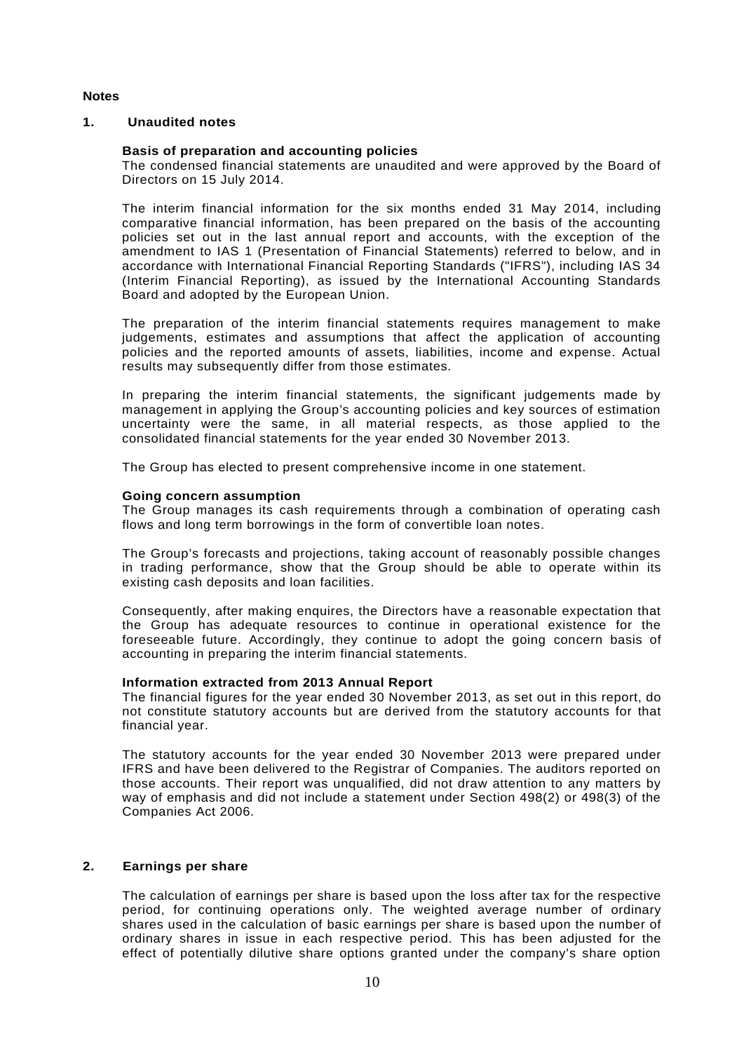# **Notes**

## **1. Unaudited notes**

## **Basis of preparation and accounting policies**

The condensed financial statements are unaudited and were approved by the Board of Directors on 15 July 2014.

The interim financial information for the six months ended 31 May 2014, including comparative financial information, has been prepared on the basis of the accounting policies set out in the last annual report and accounts, with the exception of the amendment to IAS 1 (Presentation of Financial Statements) referred to below, and in accordance with International Financial Reporting Standards ("IFRS"), including IAS 34 (Interim Financial Reporting), as issued by the International Accounting Standards Board and adopted by the European Union.

The preparation of the interim financial statements requires management to make judgements, estimates and assumptions that affect the application of accounting policies and the reported amounts of assets, liabilities, income and expense. Actual results may subsequently differ from those estimates.

In preparing the interim financial statements, the significant judgements made by management in applying the Group's accounting policies and key sources of estimation uncertainty were the same, in all material respects, as those applied to the consolidated financial statements for the year ended 30 November 2013.

The Group has elected to present comprehensive income in one statement.

#### **Going concern assumption**

The Group manages its cash requirements through a combination of operating cash flows and long term borrowings in the form of convertible loan notes.

The Group's forecasts and projections, taking account of reasonably possible changes in trading performance, show that the Group should be able to operate within its existing cash deposits and loan facilities.

Consequently, after making enquires, the Directors have a reasonable expectation that the Group has adequate resources to continue in operational existence for the foreseeable future. Accordingly, they continue to adopt the going concern basis of accounting in preparing the interim financial statements.

#### **Information extracted from 2013 Annual Report**

The financial figures for the year ended 30 November 2013, as set out in this report, do not constitute statutory accounts but are derived from the statutory accounts for that financial year.

The statutory accounts for the year ended 30 November 2013 were prepared under IFRS and have been delivered to the Registrar of Companies. The auditors reported on those accounts. Their report was unqualified, did not draw attention to any matters by way of emphasis and did not include a statement under Section 498(2) or 498(3) of the Companies Act 2006.

# **2. Earnings per share**

The calculation of earnings per share is based upon the loss after tax for the respective period, for continuing operations only. The weighted average number of ordinary shares used in the calculation of basic earnings per share is based upon the number of ordinary shares in issue in each respective period. This has been adjusted for the effect of potentially dilutive share options granted under the company's share option